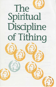# The Spiritual Discipline of Tithing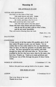# **Worship Ill**

#### *THE APPROACH TO GOD*

# VOTUM AND SENTENCES

Our help is in the name of the Lord, who made heaven and earth. Amen. The earth is the Lord's and all that is in it, the world, and those who live in it; Who shall ascend the hill of the Lord? And who shall stand in his holy place? Those who have clean hands and pure hearts, who do not lift up their souls to what is false, and do not swear deceitfully. They will receive blessing from the Lord.

Psalm 24.1, 3-5a

# SALUTATION 2 Peter 1.2

#### **CONFESSION**

0 God, source of all that makes life possible, giver of all that makes life good, we give you our thanks. Yet we confess that we have often failed to live our thankfulness: what we have, we take for granted; we grumble about what we lack. We have squandered your bounty with little thought for those who will come after us. We are more troubled by the few who have more, than by the many who have less. Forgive us. Teach us to make gratitude and sharing our way of life; through the grace of Jesus Christ. Amen.

# WORDS OF ASSURANCE 2 Corinthians 5.17, 18a

Believe this good news and go forth to live in peace. Amen.

#### *THE WORD OF GOD*

#### LESSON

2 Corinthians 9.6-15

This is the Word of the Lord. Thanks be to God.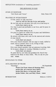## *THE RESPONSE TO GOD*

# HYMN OF RESPONSE "Join Hearts and Voices" Duke Street LM

# PRAYERS OF INTERCESSION

0 God, satisfy us with your love:

And we will live this day in joy and praise.

Be our help and our salvation, have pity on us and keep us: Lord, have mercy on us.

For what is good and profitable in our lives, and for peace in the world:

Lord, have mercy on us.

For grace to spend our whole lives in peace and faithfulness:

# Lord, have mercy on us.

Be present with those who work for the renewal and mission of your church:

# Lord, hear our prayer.

Give your church ministers who are eager to study, skilled to teach, wise to counsel, brave to act, loving to help:

# Lord, hear our prayer.

Give your church members who are generous in giving, faithful in prayer, diligent in worship, Christlike in service:

# Lord, hear our prayer.

So grant that by your help and goodness the church may indeed be the Body of Jesus Christ. This we ask for your sake. Amen.

## INVITATION TO TITHE

## ACCLAMATION OF PRAISE

#### "Doxology" Old Hundredth

Praise God from whom all blessings flow; praise him, all creatures here below; praise him above, ye heavenly host; praise Father, Son, and Holy Ghost. Amen

BENEDICTION Hebrews 13.20-21